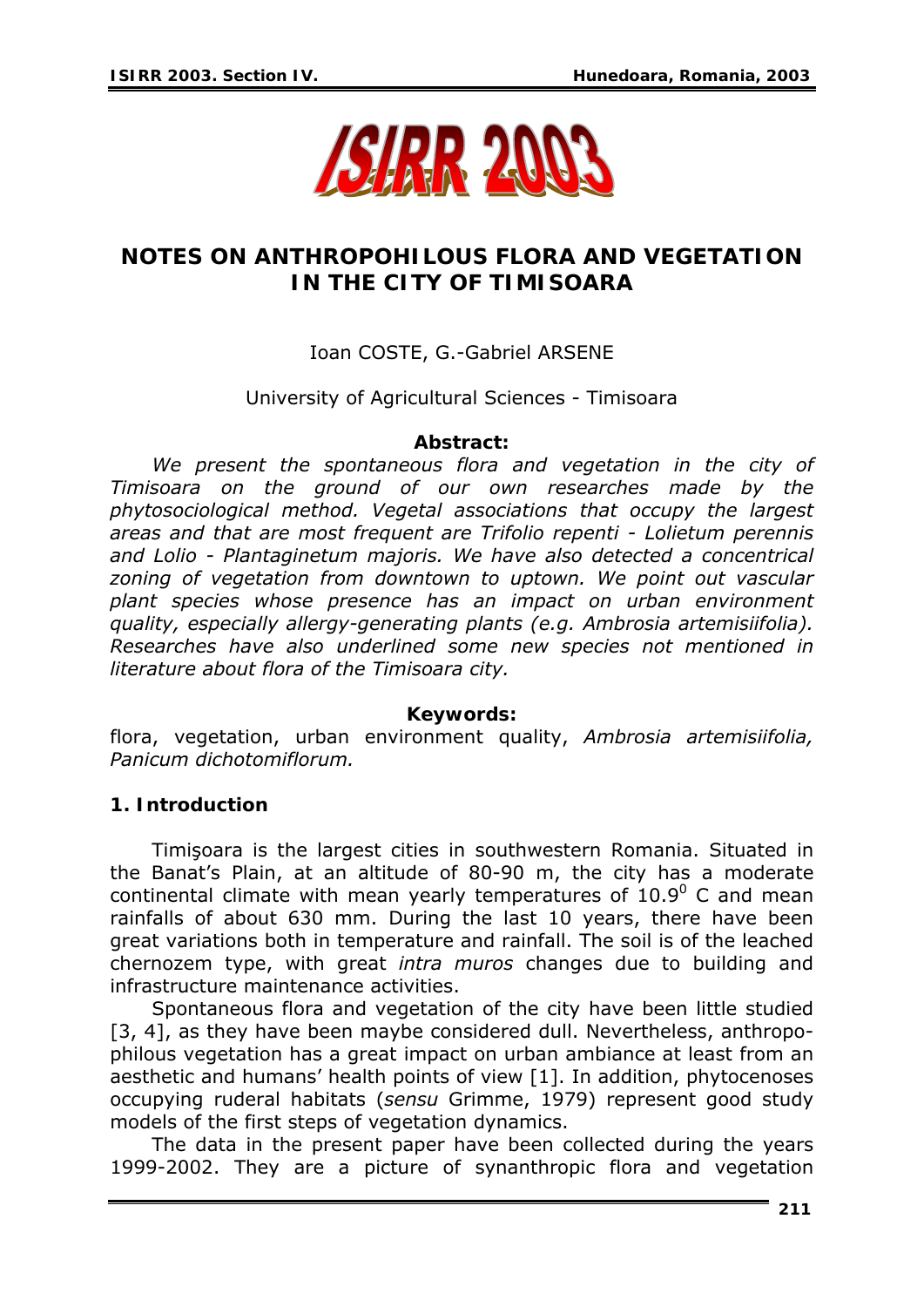

# **NOTES ON ANTHROPOHILOUS FLORA AND VEGETATION IN THE CITY OF TIMISOARA**

## Ioan COSTE, G.-Gabriel ARSENE

### University of Agricultural Sciences - Timisoara

#### *Abstract:*

*We present the spontaneous flora and vegetation in the city of Timisoara on the ground of our own researches made by the phytosociological method. Vegetal associations that occupy the largest areas and that are most frequent are Trifolio repenti - Lolietum perennis and Lolio - Plantaginetum majoris. We have also detected a concentrical zoning of vegetation from downtown to uptown. We point out vascular plant species whose presence has an impact on urban environment quality, especially allergy-generating plants (e.g. Ambrosia artemisiifolia). Researches have also underlined some new species not mentioned in literature about flora of the Timisoara city.* 

#### *Keywords:*

flora, vegetation, urban environment quality, *Ambrosia artemisiifolia, Panicum dichotomiflorum.*

### **1. Introduction**

Timişoara is the largest cities in southwestern Romania. Situated in the Banat's Plain, at an altitude of 80-90 m, the city has a moderate continental climate with mean yearly temperatures of  $10.9^{\circ}$  C and mean rainfalls of about 630 mm. During the last 10 years, there have been great variations both in temperature and rainfall. The soil is of the leached chernozem type, with great *intra muros* changes due to building and infrastructure maintenance activities.

Spontaneous flora and vegetation of the city have been little studied [3, 4], as they have been maybe considered dull. Nevertheless, anthropophilous vegetation has a great impact on urban ambiance at least from an aesthetic and humans' health points of view [1]. In addition, phytocenoses occupying ruderal habitats (*sensu* Grimme, 1979) represent good study models of the first steps of vegetation dynamics.

The data in the present paper have been collected during the years 1999-2002. They are a picture of synanthropic flora and vegetation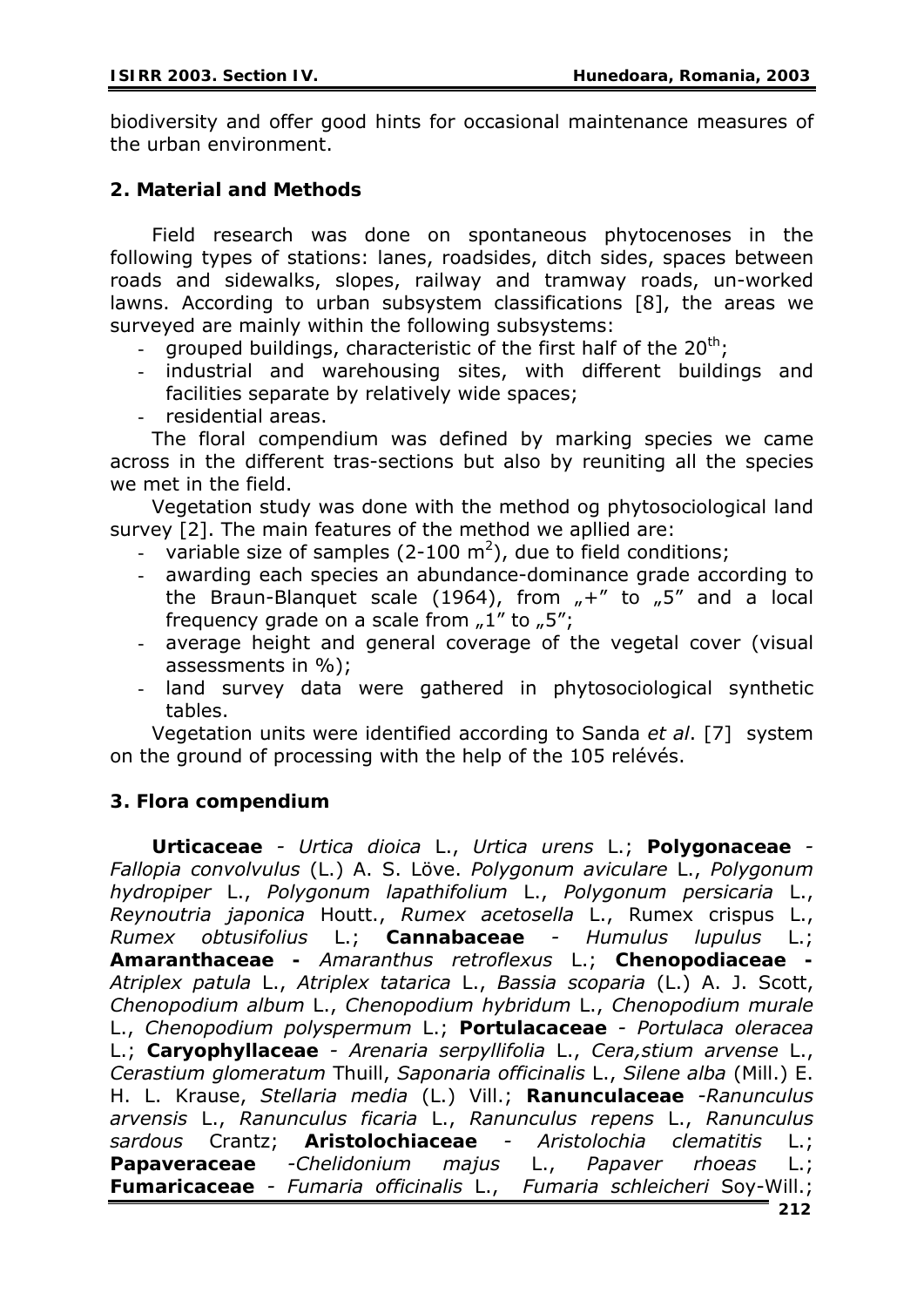biodiversity and offer good hints for occasional maintenance measures of the urban environment.

#### **2. Material and Methods**

Field research was done on spontaneous phytocenoses in the following types of stations: lanes, roadsides, ditch sides, spaces between roads and sidewalks, slopes, railway and tramway roads, un-worked lawns. According to urban subsystem classifications [8], the areas we surveyed are mainly within the following subsystems:

- grouped buildings, characteristic of the first half of the  $20<sup>th</sup>$ ;
- industrial and warehousing sites, with different buildings and facilities separate by relatively wide spaces;
- residential areas.

The floral compendium was defined by marking species we came across in the different tras-sections but also by reuniting all the species we met in the field.

Vegetation study was done with the method og phytosociological land survey [2]. The main features of the method we apllied are:

- variable size of samples (2-100 m<sup>2</sup>), due to field conditions;
- awarding each species an abundance-dominance grade according to the Braun-Blanquet scale (1964), from  $H +$ " to  $H$ , 5" and a local frequency grade on a scale from  $.1$ " to  $.5$ ";
- average height and general coverage of the vegetal cover (visual assessments in %);
- land survey data were gathered in phytosociological synthetic tables.

Vegetation units were identified according to Sanda *et al*. [7] system on the ground of processing with the help of the 105 relévés.

### **3. Flora compendium**

*Urticaceae - Urtica dioica* L., *Urtica urens* L.; *Polygonaceae - Fallopia convolvulus* (L.) A. S. Löve. *Polygonum aviculare* L., *Polygonum hydropiper* L., *Polygonum lapathifolium* L., *Polygonum persicaria* L., *Reynoutria japonica* Houtt., *Rumex acetosella* L., Rumex crispus L., *Rumex obtusifolius* L.; *Cannabaceae - Humulus lupulus* L.; *Amaranthaceae - Amaranthus retroflexus* L.; *Chenopodiaceae - Atriplex patula* L., *Atriplex tatarica* L., *Bassia scoparia* (L.) A. J. Scott, *Chenopodium album* L., *Chenopodium hybridum* L., *Chenopodium murale*  L., *Chenopodium polyspermum* L.; *Portulacaceae - Portulaca oleracea* L.; *Caryophyllaceae - Arenaria serpyllifolia* L., *Cera,stium arvense* L., *Cerastium glomeratum* Thuill, *Saponaria officinalis* L., *Silene alba* (Mill.) E. H. L. Krause, *Stellaria media* (L.) Vill.; *Ranunculaceae -Ranunculus arvensis* L., *Ranunculus ficaria* L., *Ranunculus repens* L., *Ranunculus sardous* Crantz; *Aristolochiaceae - Aristolochia clematitis* L.; *Papaveraceae -Chelidonium majus* L., *Papaver rhoeas* L.; *Fumaricaceae - Fumaria officinalis* L., *Fumaria schleicheri* Soy-Will.;

**212**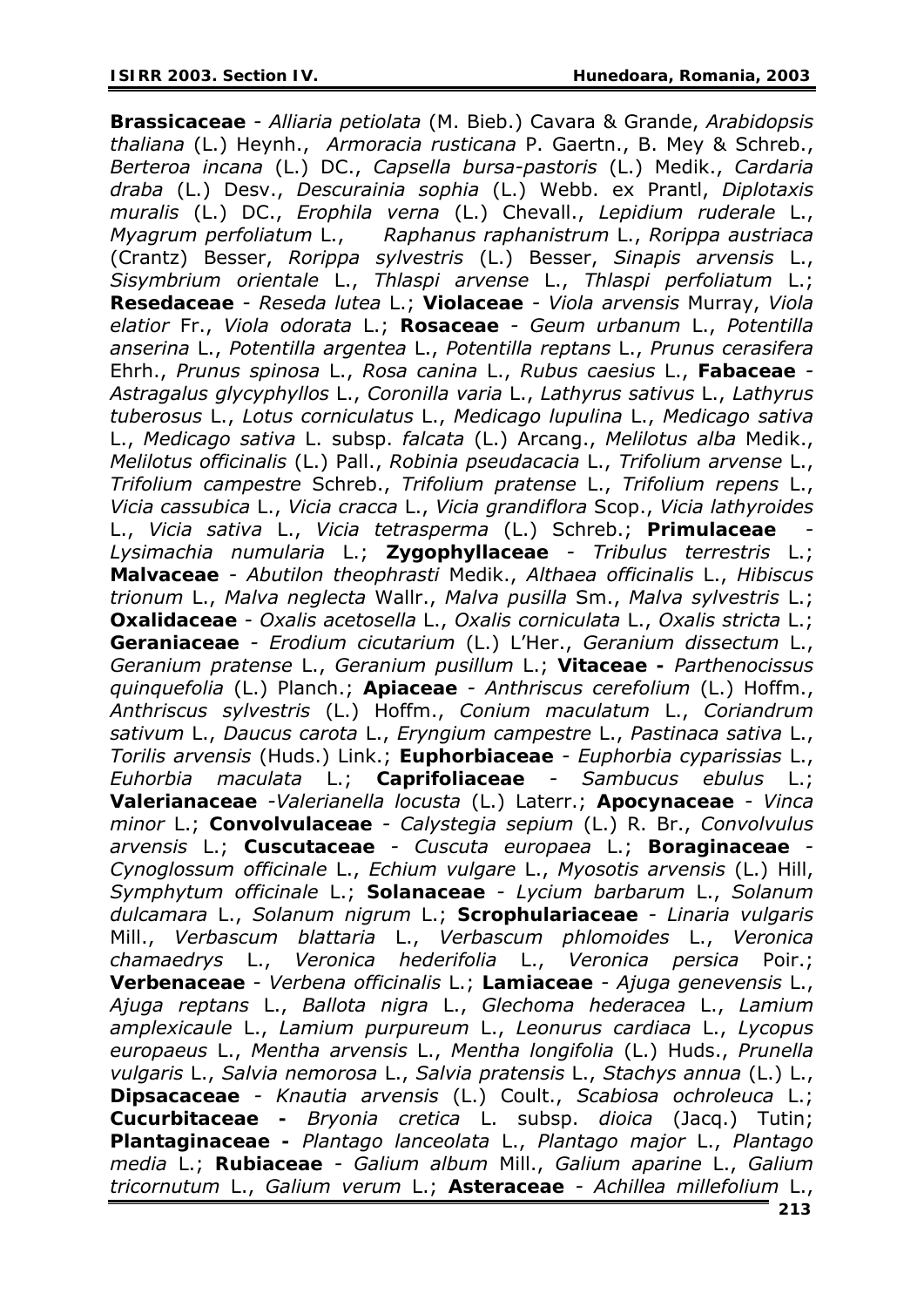*Brassicaceae - Alliaria petiolata* (M. Bieb.) Cavara & Grande, *Arabidopsis thaliana* (L.) Heynh., *Armoracia rusticana* P. Gaertn., B. Mey & Schreb., *Berteroa incana* (L.) DC., *Capsella bursa-pastoris* (L.) Medik., *Cardaria draba* (L.) Desv., *Descurainia sophia* (L.) Webb. ex Prantl, *Diplotaxis muralis* (L.) DC., *Erophila verna* (L.) Chevall., *Lepidium ruderale* L., *Myagrum perfoliatum* L., *Raphanus raphanistrum* L., *Rorippa austriaca*  (Crantz) Besser, *Rorippa sylvestris* (L.) Besser, *Sinapis arvensis* L., *Sisymbrium orientale* L., *Thlaspi arvense* L., *Thlaspi perfoliatum* L.; *Resedaceae - Reseda lutea* L.; *Violaceae - Viola arvensis* Murray, *Viola elatior* Fr., *Viola odorata* L.; *Rosaceae - Geum urbanum* L., *Potentilla anserina* L., *Potentilla argentea* L., *Potentilla reptans* L., *Prunus cerasifera*  Ehrh., *Prunus spinosa* L., *Rosa canina* L., *Rubus caesius* L., *Fabaceae - Astragalus glycyphyllos* L., *Coronilla varia* L., *Lathyrus sativus* L., *Lathyrus tuberosus* L., *Lotus corniculatus* L., *Medicago lupulina* L., *Medicago sativa* L., *Medicago sativa* L. subsp. *falcata* (L.) Arcang., *Melilotus alba* Medik., *Melilotus officinalis* (L.) Pall., *Robinia pseudacacia* L., *Trifolium arvense* L., *Trifolium campestre* Schreb., *Trifolium pratense* L., *Trifolium repens* L., *Vicia cassubica* L., *Vicia cracca* L., *Vicia grandiflora* Scop., *Vicia lathyroides*  L., *Vicia sativa* L., *Vicia tetrasperma* (L.) Schreb.; *Primulaceae - Lysimachia numularia* L.; *Zygophyllaceae - Tribulus terrestris* L.; *Malvaceae - Abutilon theophrasti* Medik., *Althaea officinalis* L., *Hibiscus trionum* L., *Malva neglecta* Wallr., *Malva pusilla* Sm., *Malva sylvestris* L.; *Oxalidaceae - Oxalis acetosella* L., *Oxalis corniculata* L., *Oxalis stricta* L.; *Geraniaceae - Erodium cicutarium* (L.) L'Her., *Geranium dissectum* L., *Geranium pratense* L., *Geranium pusillum* L.; *Vitaceae - Parthenocissus quinquefolia* (L.) Planch.; *Apiaceae - Anthriscus cerefolium* (L.) Hoffm., *Anthriscus sylvestris* (L.) Hoffm., *Conium maculatum* L., *Coriandrum sativum* L., *Daucus carota* L., *Eryngium campestre* L., *Pastinaca sativa* L., *Torilis arvensis* (Huds.) Link.; *Euphorbiaceae - Euphorbia cyparissias* L., *Euhorbia maculata* L.; *Caprifoliaceae - Sambucus ebulus* L.; *Valerianaceae -Valerianella locusta* (L.) Laterr.; *Apocynaceae - Vinca minor* L.; *Convolvulaceae - Calystegia sepium* (L.) R. Br., *Convolvulus arvensis* L.; *Cuscutaceae - Cuscuta europaea* L.; *Boraginaceae - Cynoglossum officinale* L., *Echium vulgare* L., *Myosotis arvensis* (L.) Hill, *Symphytum officinale* L.; *Solanaceae - Lycium barbarum* L., *Solanum dulcamara* L., *Solanum nigrum* L.; *Scrophulariaceae - Linaria vulgaris* Mill., *Verbascum blattaria* L., *Verbascum phlomoides* L., *Veronica chamaedrys* L., *Veronica hederifolia* L., *Veronica persica* Poir.; *Verbenaceae - Verbena officinalis* L.; *Lamiaceae - Ajuga genevensis* L., *Ajuga reptans* L., *Ballota nigra* L., *Glechoma hederacea* L., *Lamium amplexicaule* L., *Lamium purpureum* L., *Leonurus cardiaca* L., *Lycopus europaeus* L., *Mentha arvensis* L., *Mentha longifolia* (L.) Huds., *Prunella vulgaris* L., *Salvia nemorosa* L., *Salvia pratensis* L., *Stachys annua* (L.) L., *Dipsacaceae - Knautia arvensis* (L.) Coult., *Scabiosa ochroleuca* L.; *Cucurbitaceae - Bryonia cretica* L. subsp. *dioica* (Jacq.) Tutin; *Plantaginaceae - Plantago lanceolata* L., *Plantago major* L., *Plantago media* L.; *Rubiaceae - Galium album* Mill., *Galium aparine* L., *Galium tricornutum* L., *Galium verum* L.; *Asteraceae - Achillea millefolium* L.,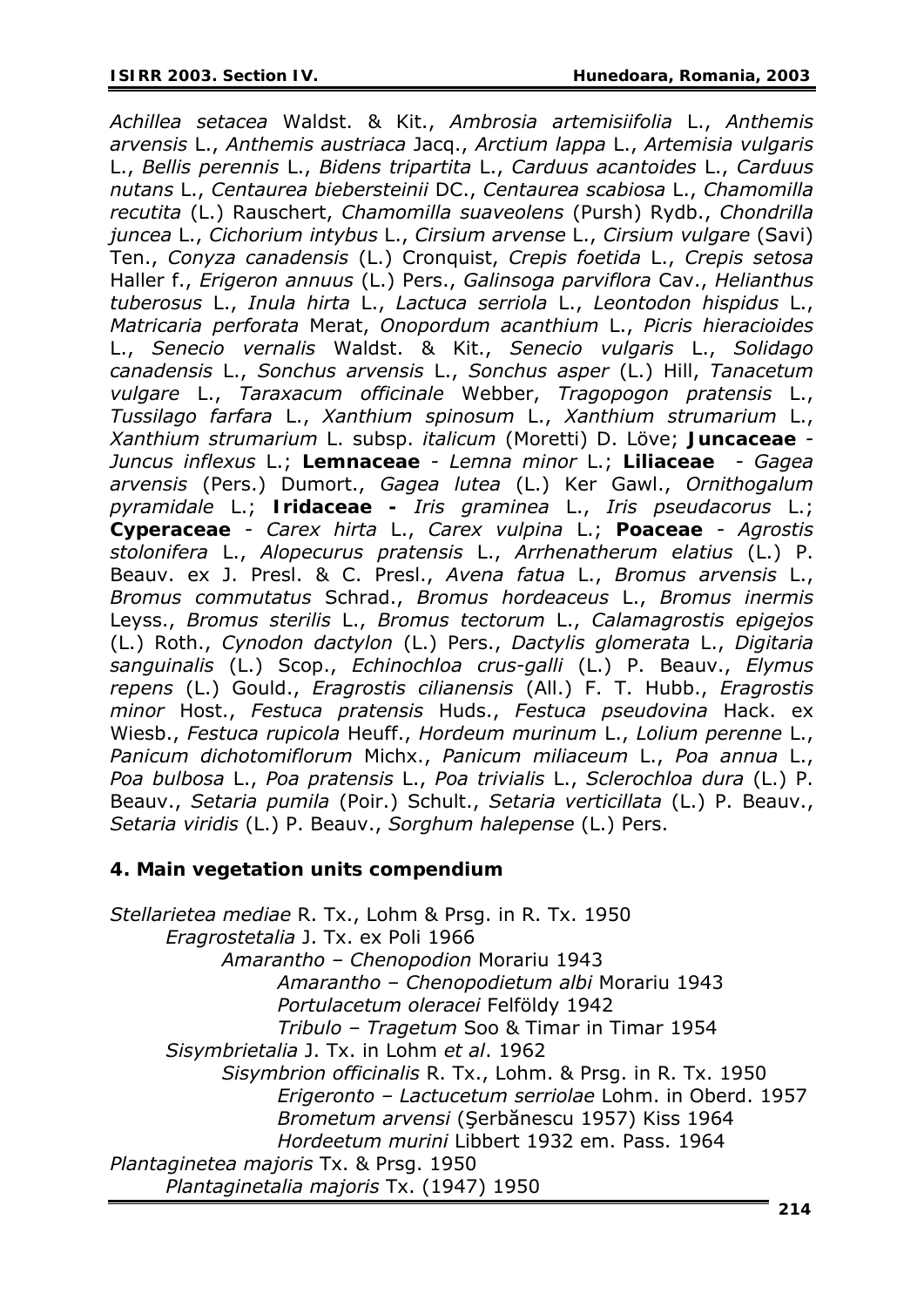*Achillea setacea* Waldst. & Kit., *Ambrosia artemisiifolia* L., *Anthemis arvensis* L., *Anthemis austriaca* Jacq., *Arctium lappa* L., *Artemisia vulgaris* L., *Bellis perennis* L., *Bidens tripartita* L., *Carduus acantoides* L., *Carduus nutans* L., *Centaurea biebersteinii* DC., *Centaurea scabiosa* L., *Chamomilla recutita* (L.) Rauschert, *Chamomilla suaveolens* (Pursh) Rydb., *Chondrilla juncea* L., *Cichorium intybus* L., *Cirsium arvense* L., *Cirsium vulgare* (Savi) Ten., *Conyza canadensis* (L.) Cronquist, *Crepis foetida* L., *Crepis setosa*  Haller f., *Erigeron annuus* (L.) Pers., *Galinsoga parviflora* Cav., *Helianthus tuberosus* L., *Inula hirta* L., *Lactuca serriola* L., *Leontodon hispidus* L., *Matricaria perforata* Merat, *Onopordum acanthium* L., *Picris hieracioides*  L., *Senecio vernalis* Waldst. & Kit., *Senecio vulgaris* L., *Solidago canadensis* L., *Sonchus arvensis* L., *Sonchus asper* (L.) Hill, *Tanacetum vulgare* L., *Taraxacum officinale* Webber, *Tragopogon pratensis* L., *Tussilago farfara* L., *Xanthium spinosum* L., *Xanthium strumarium* L., *Xanthium strumarium* L. subsp. *italicum* (Moretti) D. Löve; *Juncaceae - Juncus inflexus* L.; *Lemnaceae - Lemna minor* L.; *Liliaceae - Gagea arvensis* (Pers.) Dumort., *Gagea lutea* (L.) Ker Gawl., *Ornithogalum pyramidale* L.; *Iridaceae - Iris graminea* L., *Iris pseudacorus* L.; *Cyperaceae - Carex hirta* L., *Carex vulpina* L.; *Poaceae - Agrostis stolonifera* L., *Alopecurus pratensis* L., *Arrhenatherum elatius* (L.) P. Beauv. ex J. Presl. & C. Presl., *Avena fatua* L., *Bromus arvensis* L., *Bromus commutatus* Schrad., *Bromus hordeaceus* L., *Bromus inermis*  Leyss., *Bromus sterilis* L., *Bromus tectorum* L., *Calamagrostis epigejos*  (L.) Roth., *Cynodon dactylon* (L.) Pers., *Dactylis glomerata* L., *Digitaria sanguinalis* (L.) Scop., *Echinochloa crus-galli* (L.) P. Beauv., *Elymus repens* (L.) Gould., *Eragrostis cilianensis* (All.) F. T. Hubb., *Eragrostis minor* Host., *Festuca pratensis* Huds., *Festuca pseudovina* Hack. ex Wiesb., *Festuca rupicola* Heuff., *Hordeum murinum* L., *Lolium perenne* L., *Panicum dichotomiflorum* Michx., *Panicum miliaceum* L., *Poa annua* L., *Poa bulbosa* L., *Poa pratensis* L., *Poa trivialis* L., *Sclerochloa dura* (L.) P. Beauv., *Setaria pumila* (Poir.) Schult., *Setaria verticillata* (L.) P. Beauv., *Setaria viridis* (L.) P. Beauv., *Sorghum halepense* (L.) Pers.

### **4. Main vegetation units compendium**

*Stellarietea mediae* R. Tx., Lohm & Prsg. in R. Tx. 1950 *Eragrostetalia* J. Tx. ex Poli 1966 *Amarantho – Chenopodion* Morariu 1943 *Amarantho – Chenopodietum albi* Morariu 1943 *Portulacetum oleracei* Felföldy 1942 *Tribulo – Tragetum* Soo & Timar in Timar 1954 *Sisymbrietalia* J. Tx. in Lohm *et al*. 1962 *Sisymbrion officinalis* R. Tx., Lohm. & Prsg. in R. Tx. 1950 *Erigeronto – Lactucetum serriolae* Lohm. in Oberd. 1957 *Brometum arvensi* (Şerbănescu 1957) Kiss 1964 *Hordeetum murini* Libbert 1932 em. Pass. 1964 *Plantaginetea majoris* Tx. & Prsg. 1950 *Plantaginetalia majoris* Tx. (1947) 1950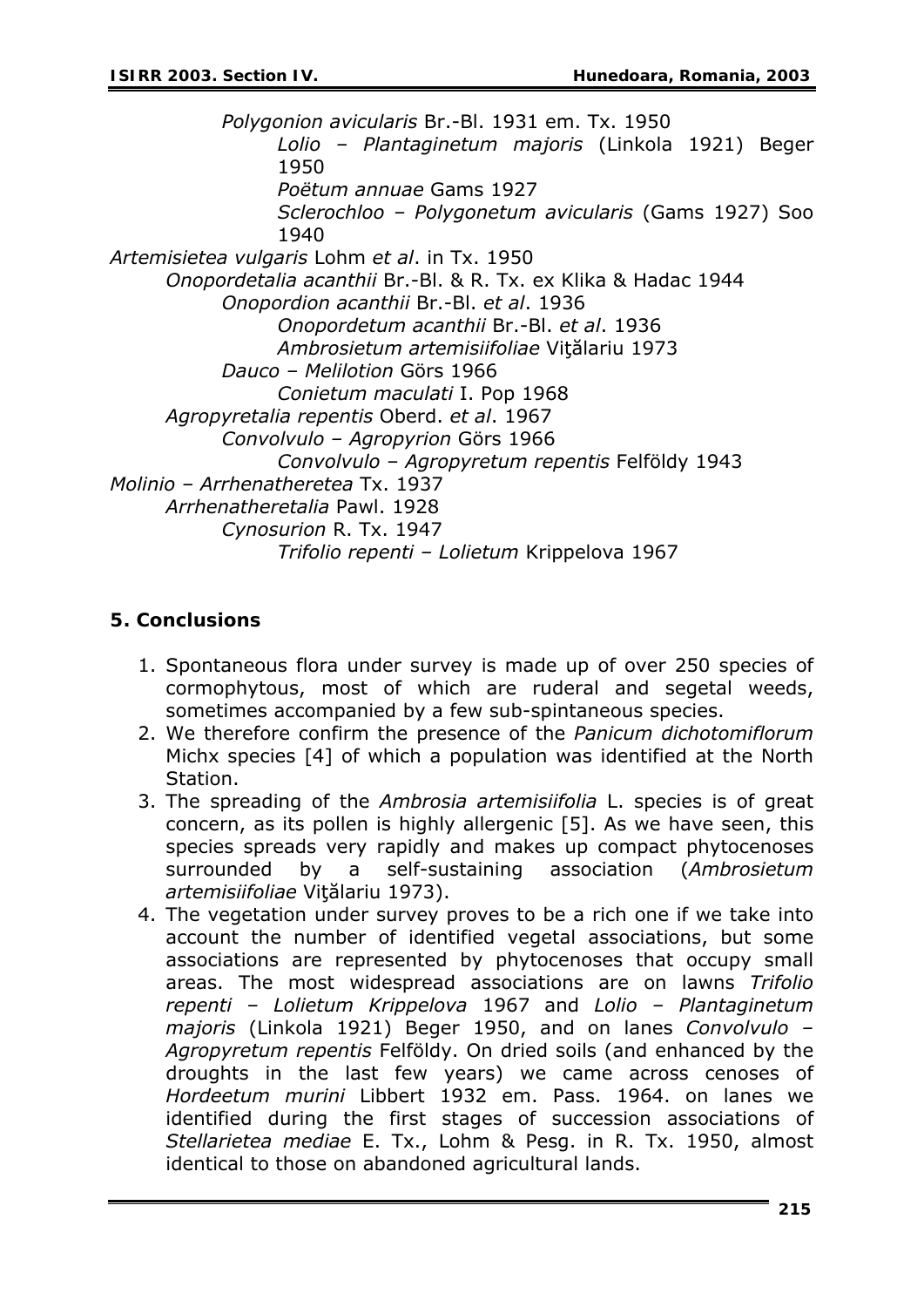*Polygonion avicularis* Br.-Bl. 1931 em. Tx. 1950 *Lolio – Plantaginetum majoris* (Linkola 1921) Beger 1950 *Poëtum annuae* Gams 1927 *Sclerochloo – Polygonetum avicularis* (Gams 1927) Soo 1940 *Artemisietea vulgaris* Lohm *et al*. in Tx. 1950 *Onopordetalia acanthii* Br.-Bl. & R. Tx. ex Klika & Hadac 1944 *Onopordion acanthii* Br.-Bl. *et al*. 1936 *Onopordetum acanthii* Br.-Bl. *et al*. 1936 *Ambrosietum artemisiifoliae* Viţălariu 1973 *Dauco – Melilotion* Görs 1966 *Conietum maculati* I. Pop 1968 *Agropyretalia repentis* Oberd. *et al*. 1967 *Convolvulo – Agropyrion* Görs 1966 *Convolvulo – Agropyretum repentis* Felföldy 1943 *Molinio – Arrhenatheretea* Tx. 1937 *Arrhenatheretalia* Pawl. 1928 *Cynosurion* R. Tx. 1947 *Trifolio repenti – Lolietum* Krippelova 1967

#### **5. Conclusions**

- 1. Spontaneous flora under survey is made up of over 250 species of cormophytous, most of which are ruderal and segetal weeds, sometimes accompanied by a few sub-spintaneous species.
- 2. We therefore confirm the presence of the *Panicum dichotomiflorum* Michx species [4] of which a population was identified at the North Station.
- 3. The spreading of the *Ambrosia artemisiifolia* L. species is of great concern, as its pollen is highly allergenic [5]. As we have seen, this species spreads very rapidly and makes up compact phytocenoses surrounded by a self-sustaining association (*Ambrosietum artemisiifoliae* Viţălariu 1973).
- 4. The vegetation under survey proves to be a rich one if we take into account the number of identified vegetal associations, but some associations are represented by phytocenoses that occupy small areas. The most widespread associations are on lawns *Trifolio repenti – Lolietum Krippelova* 1967 and *Lolio – Plantaginetum majoris* (Linkola 1921) Beger 1950, and on lanes *Convolvulo – Agropyretum repentis* Felföldy. On dried soils (and enhanced by the droughts in the last few years) we came across cenoses of *Hordeetum murini* Libbert 1932 em. Pass. 1964. on lanes we identified during the first stages of succession associations of *Stellarietea mediae* E. Tx., Lohm & Pesg. in R. Tx. 1950, almost identical to those on abandoned agricultural lands.